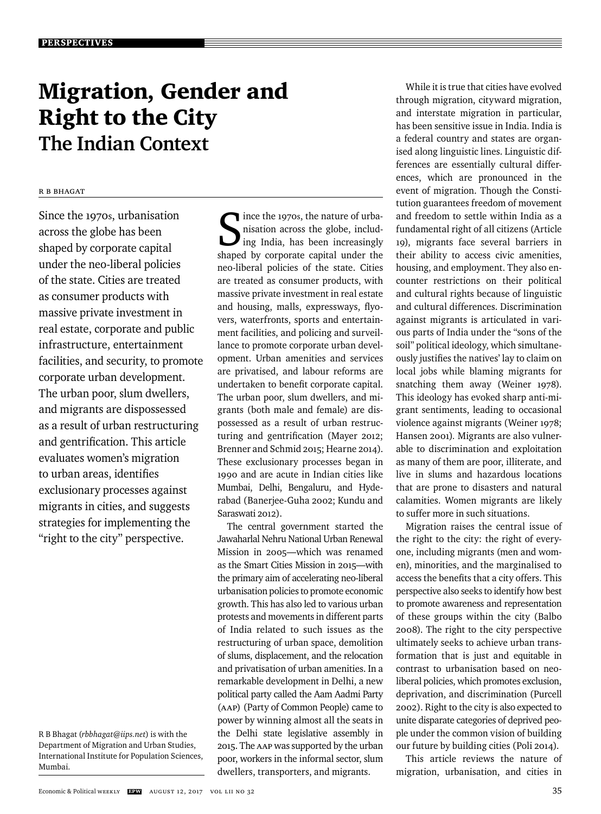# Migration, Gender and Right to the City **The Indian Context**

# R B Bhagat

Since the 1970s, urbanisation across the globe has been shaped by corporate capital under the neo-liberal policies of the state. Cities are treated as consumer products with massive private investment in real estate, corporate and public infrastructure, entertainment facilities, and security, to promote corporate urban development. The urban poor, slum dwellers, and migrants are dispossessed as a result of urban restructuring and gentrification. This article evaluates women's migration to urban areas, identifies exclusionary processes against migrants in cities, and suggests strategies for implementing the "right to the city" perspective.

Since the 1970s, the nature of urba-<br>
ing India, has been increasingly<br>
shaped by corporate capital under the ince the 1970s, the nature of urbanisation across the globe, including India, has been increasingly neo-liberal policies of the state. Cities are treated as consumer products, with massive private investment in real estate and housing, malls, expressways, flyovers, waterfronts, sports and entertainment facilities, and policing and surveillance to promote corporate urban development. Urban amenities and services are privatised, and labour reforms are undertaken to benefit corporate capital. The urban poor, slum dwellers, and migrants (both male and female) are dispossessed as a result of urban restructuring and gentrification (Mayer 2012; Brenner and Schmid 2015; Hearne 2014). These exclusionary processes began in 1990 and are acute in Indian cities like Mumbai, Delhi, Bengaluru, and Hyderabad (Banerjee-Guha 2002; Kundu and Saraswati 2012).

The central government started the Jawaharlal Nehru National Urban Renewal Mission in 2005—which was renamed as the Smart Cities Mission in 2015—with the primary aim of accelerating neo-liberal urbanisation policies to promote economic gro wth. This has also led to various urban protests and movements in different parts of India related to such issues as the restructuring of urban space, demolition of slums, displacement, and the relocation and privatisation of urban amenities. In a remarkable development in Delhi, a new political party called the Aam Aadmi Party (AAP) (Party of Common People) came to power by winning almost all the seats in the Delhi state legislative assembly in 2015. The AAP was supported by the urban poor, workers in the informal sector, slum dwellers, transporters, and migrants.

While it is true that cities have evolved through migration, cityward migration, and interstate migration in particular, has been sensitive issue in India. India is a federal country and states are organised along linguistic lines. Linguistic differences are essentially cultural differences, which are pronounced in the event of migration. Though the Constitution guarantees freedom of movement and freedom to settle within India as a fundamental right of all citizens (Article 19), migrants face several barriers in their ability to access civic amenities, housing, and employment. They also encounter restrictions on their political and cultural rights because of linguistic and cultural differences. Discrimination against migrants is articulated in various parts of India under the "sons of the soil" political ideology, which simultaneously justifies the natives' lay to claim on local jobs while blaming migrants for snatching them away (Weiner 1978). This ideology has evoked sharp anti-migrant sentiments, leading to occasional violence against migrants (Weiner 1978; Hansen 2001)*.* Migrants are also vulnerable to discrimination and exploitation as many of them are poor, illiterate, and live in slums and hazardous locations that are prone to disasters and natural calamities. Women migrants are likely to suffer more in such situations.

Migration raises the central issue of the right to the city: the right of everyone, including migrants (men and women), minorities, and the marginalised to access the benefits that a city offers. This perspective also seeks to identify how best to promote awareness and representation of these groups within the city (Balbo 2008). The right to the city perspective ultimately seeks to achieve urban transformation that is just and equitable in contrast to urbanisation based on neoliberal policies, which promotes exclusion, deprivation, and discrimination (Purcell 2002). Right to the city is also expected to unite disparate categories of deprived people under the common vision of building our future by building cities (Poli 2014).

This article reviews the nature of migration, urbanisation, and cities in

R B Bhagat (*rbbhagat@iips.net*) is with the Department of Migration and Urban Studies, International Institute for Population Sciences, Mumbai.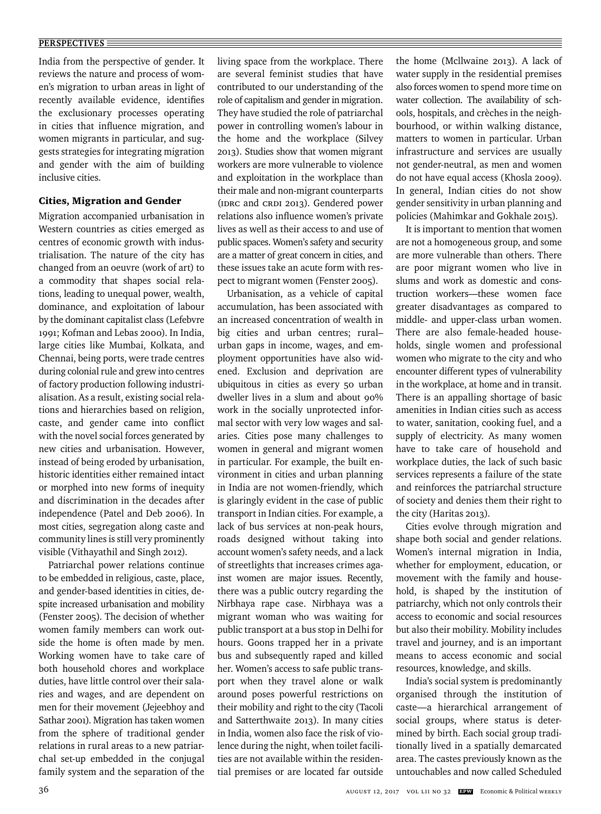India from the perspective of gender. It reviews the nature and process of women's migration to urban areas in light of recently available evidence, identifies the exclusionary processes operating in cities that influence migration, and women migrants in particular, and suggests strategies for integrating migration and gender with the aim of building inclusive cities.

## Cities, Migration and Gender

Migration accompanied urbanisation in Western countries as cities emerged as centres of economic growth with industrialisation. The nature of the city has changed from an oeuvre (work of art) to a commodity that shapes social relations, leading to unequal power, wealth, dominance, and exploitation of labour by the dominant capitalist class (Lefebvre 1991; Kofman and Lebas 2000). In India, large cities like Mumbai, Kolkata, and Chennai, being ports, were trade centres during colonial rule and grew into centres of factory production following industrialisation. As a result, existing social relations and hierarchies based on religion, caste, and gender came into conflict with the novel social forces generated by new cities and urbanisation. However, instead of being eroded by urbanisation, historic identities either remained intact or morphed into new forms of inequity and discrimination in the decades after independence (Patel and Deb 2006). In most cities, segregation along caste and community lines is still very prominently visible (Vithayathil and Singh 2012).

Patriarchal power relations continue to be embedded in religious, caste, place, and gender-based identities in cities, despite increased urbanisation and mobility (Fenster 2005). The decision of whether women family members can work outside the home is often made by men. Working women have to take care of both household chores and workplace duties, have little control over their salaries and wages, and are dependent on men for their movement (Jejeebhoy and Sathar 2001). Migration has taken women from the sphere of traditional gender relations in rural areas to a new patriarchal set-up embedded in the conjugal family system and the separation of the

living space from the workplace. There are several feminist studies that have contributed to our understanding of the role of capitalism and gender in migration. They have studied the role of patriarchal power in controlling women's labour in the home and the workplace (Silvey 2013). Studies show that women migrant workers are more vulnerable to violence and exploitation in the workplace than their male and non-migrant counterparts (IDRC and CRDI 2013). Gendered power relations also influence women's private lives as well as their access to and use of public spaces. Women's safety and security are a matter of great concern in cities, and these issues take an acute form with respect to migrant women (Fenster 2005).

Urbanisation, as a vehicle of capital accumulation, has been associated with an increased concentration of wealth in big cities and urban centres; rural– urban gaps in income, wages, and employment opportunities have also widened. Exclusion and deprivation are ubiquitous in cities as every 50 urban dweller lives in a slum and about 90% work in the socially unprotected informal sector with very low wages and salaries. Cities pose many challenges to women in general and migrant women in particular. For example, the built environment in cities and urban planning in India are not women-friendly, which is glaringly evident in the case of public transport in Indian cities. For example, a lack of bus services at non-peak hours, roads designed without taking into account women's safety needs, and a lack of streetlights that increases crimes against women are major issues. Recently, there was a public outcry regarding the Nirbhaya rape case. Nirbhaya was a migrant woman who was waiting for public transport at a bus stop in Delhi for hours. Goons trapped her in a private bus and subsequently raped and killed her. Women's access to safe public transport when they travel alone or walk around poses powerful restrictions on their mobility and right to the city (Tacoli and Satterthwaite 2013). In many cities in India, women also face the risk of violence during the night, when toilet facilities are not available within the residential premises or are located far outside the home (Mcllwaine 2013). A lack of water supply in the residential premises also forces women to spend more time on water collection. The availability of schools, hospitals, and crèches in the neighbourhood, or within walking distance, matters to women in particular. Urban infrastructure and services are usually not gender-neutral, as men and women do not have equal access (Khosla 2009). In general, Indian cities do not show gender sensitivity in urban planning and policies (Mahimkar and Gokhale 2015).

It is important to mention that women are not a homogeneous group, and some are more vulnerable than others. There are poor migrant women who live in slums and work as domestic and construction workers—these women face greater disadvantages as compared to middle- and upper-class urban women. There are also female-headed households, single women and professional women who migrate to the city and who encounter different types of vulnerability in the workplace, at home and in transit. There is an appalling shortage of basic amenities in Indian cities such as access to water, sanitation, cooking fuel, and a supply of electricity. As many women have to take care of household and workplace duties, the lack of such basic services represents a failure of the state and reinforces the patriarchal structure of society and denies them their right to the city (Haritas 2013).

Cities evolve through migration and shape both social and gender relations. Women's internal migration in India, whether for employment, education, or movement with the family and household, is shaped by the institution of patriarchy, which not only controls their access to economic and social resources but also their mobility. Mobility includes travel and journey, and is an important means to access economic and social resources, knowledge, and skills.

India's social system is predominantly organised through the institution of caste—a hierarchical arrangement of social groups, where status is determined by birth. Each social group traditionally lived in a spatially demarcated area. The castes previously known as the untouchables and now called Scheduled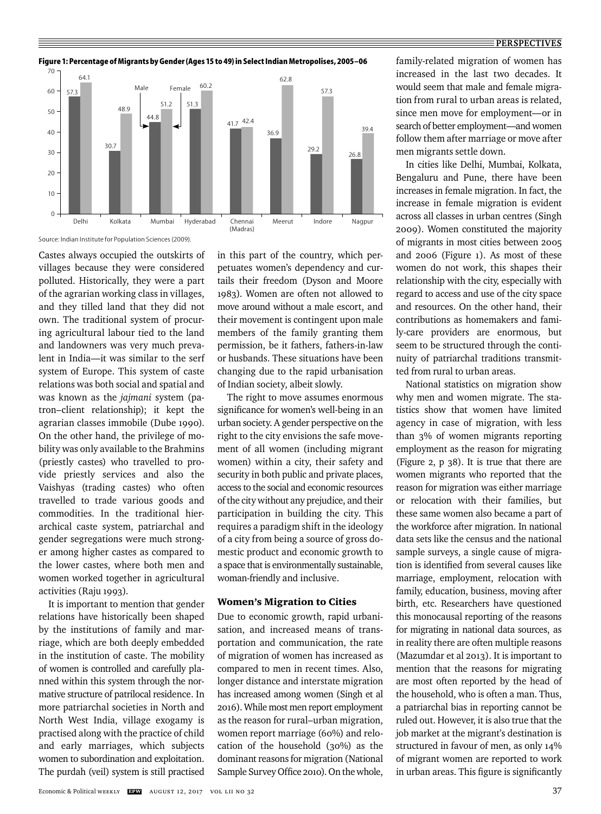#### **PERSPECTIVES**



**Figure 1: Percentage of Migrants by Gender (Ages 15 to 49) in Select Indian Metropolises, 2005–06**

Castes always occupied the outskirts of villages because they were considered polluted. Historically, they were a part of the agrarian working class in villages, and they tilled land that they did not own. The traditional system of procuring agricultural labour tied to the land and landowners was very much prevalent in India—it was similar to the serf system of Europe. This system of caste relations was both social and spatial and was known as the *jajmani* system (patron–client relationship); it kept the agrarian classes immobile (Dube 1990). On the other hand, the privilege of mobility was only available to the Brahmins (priestly castes) who travelled to provide priestly services and also the Vaishyas (trading castes) who often travelled to trade various goods and commodities. In the traditional hierarchical caste system, patriarchal and gender segregations were much stronger among higher castes as compared to the lower castes, where both men and women worked together in agricultural activities (Raju 1993).

It is important to mention that gender relations have historically been shaped by the institutions of family and marriage, which are both deeply embedded in the institution of caste. The mobility of women is controlled and carefully planned within this system through the normative structure of patrilocal residence. In more patriarchal societies in North and North West India, village exogamy is pract ised along with the practice of child and early marriages, which subjects women to subordination and exploitation. The purdah (veil) system is still practised

in this part of the country, which perpetuates women's dependency and curtails their freedom (Dyson and Moore 1983). Women are often not allowed to move around without a male escort, and their movement is contingent upon male members of the family granting them permission, be it fathers, fathers-in-law or husbands. These situations have been changing due to the rapid urbanisation of Indian society, albeit slowly.

The right to move assumes enormous significance for women's well-being in an urban society. A gender perspective on the right to the city envisions the safe movement of all women (including migrant women) within a city, their safety and security in both public and private places, access to the social and economic resources of the city without any prejudice, and their participation in building the city. This requires a paradigm shift in the ideology of a city from being a source of gross domestic product and economic growth to a space that is environmentally sustainable, woman-friendly and inclusive.

#### Women's Migration to Cities

Due to economic growth, rapid urbanisation, and increased means of transportation and communication, the rate of migration of women has increased as compared to men in recent times. Also, longer distance and interstate migration has increased among women (Singh et al 2016). While most men report employment as the reason for rural–urban migration, women report marriage (60%) and relocation of the household (30%) as the dominant reasons for migration (National Sample Survey Office 2010). On the whole, family-related migration of women has increased in the last two decades. It would seem that male and female migration from rural to urban areas is related, since men move for employment—or in search of better employment—and women follow them after marriage or move after men migrants settle down.

In cities like Delhi, Mumbai, Kolkata, Bengaluru and Pune, there have been increases in female migration. In fact, the increase in female migration is evident across all classes in urban centres (Singh 2009). Women constituted the majority of migrants in most cities between 2005 and 2006 (Figure 1). As most of these women do not work, this shapes their relationship with the city, especially with regard to access and use of the city space and resources. On the other hand, their contributions as homemakers and family-care providers are enormous, but seem to be structured through the continuity of patriarchal traditions transmitted from rural to urban areas.

National statistics on migration show why men and women migrate. The statistics show that women have limited agency in case of migration, with less than 3% of women migrants reporting employment as the reason for migrating (Figure 2, p 38). It is true that there are women migrants who reported that the reason for migration was either marriage or relocation with their families, but these same women also became a part of the workforce after migration. In national data sets like the census and the national sample surveys, a single cause of migration is identified from several causes like marriage, employment, relocation with family, education, business, moving after birth, etc. Researchers have questioned this monocausal reporting of the reasons for migrating in national data sources, as in reality there are often multiple reasons (Mazumdar et al 2013). It is important to mention that the reasons for migrating are most often reported by the head of the household, who is often a man. Thus, a patriarchal bias in reporting cannot be ruled out. However, it is also true that the job market at the migrant's destination is structured in favour of men, as only 14% of migrant women are reported to work in urban areas. This figure is significantly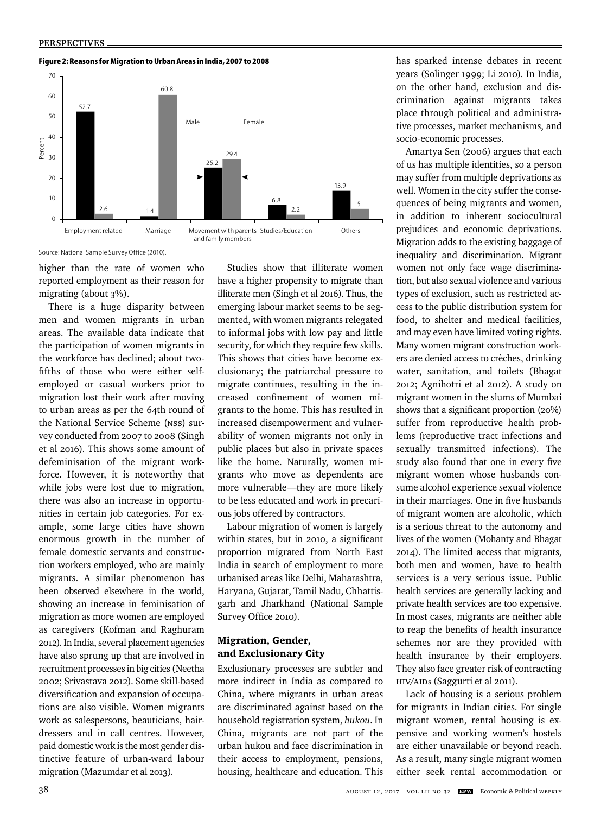**Figure 2: Reasons for Migration to Urban Areas in India, 2007 to 2008**



Source: National Sample Survey Office (2010).

higher than the rate of women who reported employment as their reason for migrating (about 3%).

There is a huge disparity between men and women migrants in urban areas. The available data indicate that the participation of women migrants in the workforce has declined; about twofifths of those who were either selfemployed or casual workers prior to migration lost their work after moving to urban areas as per the 64th round of the National Service Scheme (NSS) survey conducted from 2007 to 2008 (Singh et al 2016). This shows some amount of defeminisation of the migrant workforce. However, it is noteworthy that while jobs were lost due to migration, there was also an increase in opportunities in certain job categories. For example, some large cities have shown enormous growth in the number of female domestic servants and construction workers employed, who are mainly migrants. A similar phenomenon has been observed elsewhere in the world, showing an increase in feminisation of migration as more women are employed as caregivers (Kofman and Raghuram 2012). In India, several placement agencies have also sprung up that are involved in recruitment processes in big cities (Neetha 2002; Srivastava 2012). Some skill-based diversification and expansion of occupations are also visible. Women migrants work as salespersons, beauticians, hairdressers and in call centres. However, paid domestic work is the most gender distinctive feature of urban-ward labour migration (Mazumdar et al 2013).

Studies show that illiterate women have a higher propensity to migrate than illiterate men (Singh et al 2016). Thus, the emerging labour market seems to be segmented, with women migrants relegated to informal jobs with low pay and little security, for which they require few skills. This shows that cities have become exclusionary; the patriarchal pressure to migrate continues, resulting in the increased confinement of women migrants to the home. This has resulted in increased disempowerment and vulnerability of women migrants not only in public places but also in private spaces like the home. Naturally, women migrants who move as dependents are more vulnerable—they are more likely to be less educated and work in precarious jobs offered by contractors.

Labour migration of women is largely within states, but in 2010, a significant proportion migrated from North East India in search of employment to more urbanised areas like Delhi, Maharashtra, Haryana, Gujarat, Tamil Nadu, Chhattisgarh and Jharkhand (National Sample Survey Office 2010).

## Migration, Gender, and Exclusionary City

Exclusionary processes are subtler and more indirect in India as compared to China, where migrants in urban areas are discriminated against based on the household registration system, *hukou*. In China, migrants are not part of the urban hukou and face discrimination in their access to employment, pensions, housing, healthcare and education. This has sparked intense debates in recent years (Solinger 1999; Li 2010). In India, on the other hand, exclusion and discrimination against migrants takes place through political and administrative processes, market mechanisms, and socio-economic processes.

Amartya Sen (2006) argues that each of us has multiple identities, so a person may suffer from multiple deprivations as well. Women in the city suffer the consequences of being migrants and women, in addition to inherent sociocultural prejudices and economic deprivations. Migration adds to the existing baggage of inequality and discrimination. Migrant women not only face wage discrimination, but also sexual violence and various types of exclusion, such as restricted access to the public distribution system for food, to shelter and medical facilities, and may even have limited voting rights. Many women migrant construction workers are denied access to crèches, drinking water, sanitation, and toilets (Bhagat 2012; Agnihotri et al 2012). A study on migrant women in the slums of Mumbai shows that a significant proportion (20%) suffer from reproductive health problems (reproductive tract infections and sexually transmitted infections). The study also found that one in every five migrant women whose husbands consume alcohol experience sexual violence in their marriages. One in five husbands of migrant women are alcoholic, which is a serious threat to the autonomy and lives of the women (Mohanty and Bhagat 2014). The limited access that migrants, both men and women, have to health services is a very serious issue. Public health services are generally lacking and private health services are too expensive. In most cases, migrants are neither able to reap the benefits of health insurance schemes nor are they provided with health insurance by their employers. They also face greater risk of contracting HIV/AIDs (Saggurti et al 2011).

Lack of housing is a serious problem for migrants in Indian cities. For single migrant women, rental housing is expensive and working women's hostels are either unavailable or beyond reach. As a result, many single migrant women either seek rental accommodation or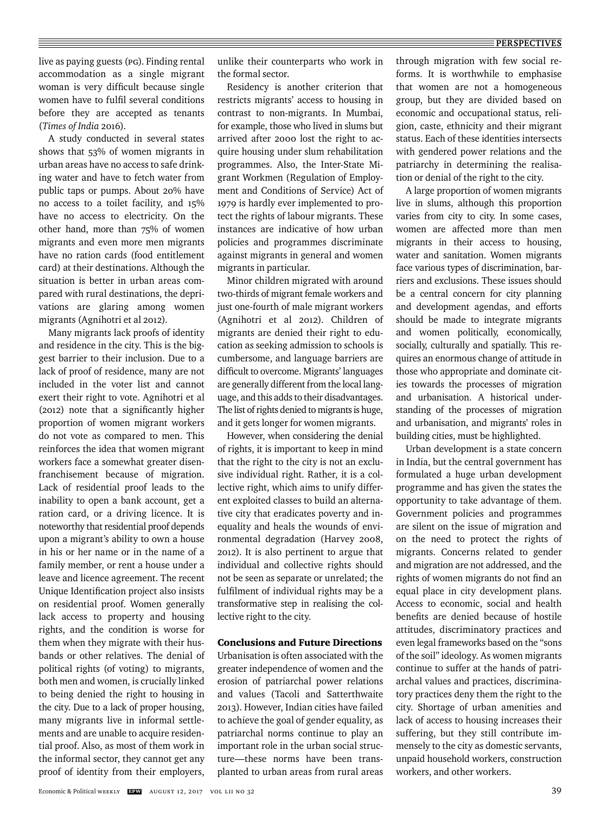### **PERSPECTIVES**

live as paying guests (PG). Finding rental accommodation as a single migrant woman is very difficult because single women have to fulfil several conditions before they are accepted as tenants (*Times of India* 2016).

A study conducted in several states shows that 53% of women migrants in urban areas have no access to safe drinking water and have to fetch water from public taps or pumps. About 20% have no access to a toilet facility, and 15% have no access to electricity. On the other hand, more than 75% of women migrants and even more men migrants have no ration cards (food entitlement card) at their destinations. Although the situation is better in urban areas compared with rural destinations, the deprivations are glaring among women migrants (Agnihotri et al 2012).

Many migrants lack proofs of identity and residence in the city. This is the biggest barrier to their inclusion. Due to a lack of proof of residence, many are not included in the voter list and cannot exert their right to vote. Agnihotri et al (2012) note that a significantly higher proportion of women migrant workers do not vote as compared to men. This reinforces the idea that women migrant workers face a somewhat greater disenfranchisement because of migration. Lack of residential proof leads to the inability to open a bank account, get a ration card, or a driving licence. It is noteworthy that residential proof depends upon a migrant's ability to own a house in his or her name or in the name of a family member, or rent a house under a leave and licence agreement. The recent Unique Identification project also insists on residential proof. Women generally lack access to property and housing rights, and the condition is worse for them when they migrate with their husbands or other relatives. The denial of political rights (of voting) to migrants, both men and women, is crucially linked to being denied the right to housing in the city. Due to a lack of proper housing, many migrants live in informal settlements and are unable to acquire residential proof. Also, as most of them work in the informal sector, they cannot get any proof of identity from their employers,

unlike their counterparts who work in the formal sector.

Residency is another criterion that restricts migrants' access to housing in contrast to non-migrants. In Mumbai, for example, those who lived in slums but arrived after 2000 lost the right to acquire housing under slum rehabilitation programmes. Also, the Inter-State Migrant Workmen (Regulation of Employment and Conditions of Service) Act of 1979 is hardly ever implemented to protect the rights of labour migrants. These instances are indicative of how urban policies and programmes discriminate against migrants in general and women migrants in particular.

Minor children migrated with around two-thirds of migrant female workers and just one-fourth of male migrant workers (Agnihotri et al 2012). Children of migrants are denied their right to education as seeking admission to schools is cumbersome, and language barriers are difficult to overcome. Migrants' languages are generally different from the local language, and this adds to their disadvantages. The list of rights denied to migrants is huge, and it gets longer for women migrants.

However, when considering the denial of rights, it is important to keep in mind that the right to the city is not an exclusive individual right. Rather, it is a collective right, which aims to unify different exploited classes to build an alternative city that eradicates poverty and inequality and heals the wounds of environmental degradation (Harvey 2008, 2012). It is also pertinent to argue that individual and collective rights should not be seen as separate or unrelated; the fulfilment of individual rights may be a transformative step in realising the collective right to the city.

### Conclusions and Future Directions

Urbanisation is often associated with the greater independence of women and the erosion of patriarchal power relations and values (Tacoli and Satterthwaite 2013). However, Indian cities have failed to achieve the goal of gender equality, as patriarchal norms continue to play an important role in the urban social structure—these norms have been transplanted to urban areas from rural areas

through migration with few social reforms. It is worthwhile to emphasise that women are not a homogeneous group, but they are divided based on economic and occupational status, religion, caste, ethnicity and their migrant status. Each of these identities intersects with gendered power relations and the patriarchy in determining the realisation or denial of the right to the city.

A large proportion of women migrants live in slums, although this proportion varies from city to city. In some cases, women are affected more than men migrants in their access to housing, water and sanitation. Women migrants face various types of discrimination, barriers and exclusions. These issues should be a central concern for city planning and development agendas, and efforts should be made to integrate migrants and women politically, economically, socially, culturally and spatially. This requires an enormous change of attitude in those who appropriate and dominate cities towards the processes of migration and urbanisation. A historical understanding of the processes of migration and urbanisation, and migrants' roles in building cities, must be highlighted.

Urban development is a state concern in India, but the central government has formulated a huge urban development programme and has given the states the opportunity to take advantage of them. Government policies and programmes are silent on the issue of migration and on the need to protect the rights of migrants. Concerns related to gender and migration are not addressed, and the rights of women migrants do not find an equal place in city development plans. Access to economic, social and health benefits are denied because of hostile attitudes, discriminatory practices and even legal frameworks based on the "sons of the soil" ideology. As women migrants continue to suffer at the hands of patriarchal values and practices, discriminatory practices deny them the right to the city. Shortage of urban amenities and lack of access to housing increases their suffering, but they still contribute immensely to the city as domestic servants, unpaid household workers, construction workers, and other workers.